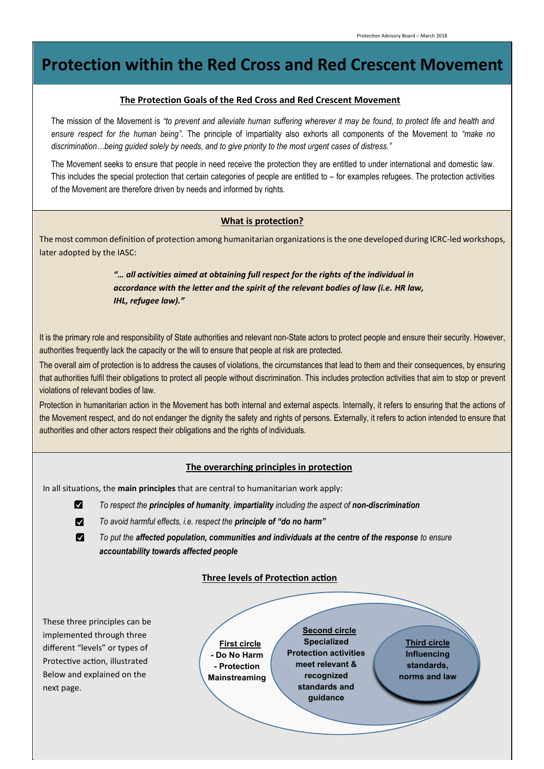# **Protection within the Red Cross and Red Crescent Movement**

#### **The Protection Goals of the Red Cross and Red Crescent Movement**

The mission of the Movement is *"to prevent and alleviate human suffering wherever it may be found, to protect life and health and ensure respect for the human being".* The principle of impartiality also exhorts all components of the Movement to *"make no discrimination…being guided solely by needs, and to give priority to the most urgent cases of distress."* 

The Movement seeks to ensure that people in need receive the protection they are entitled to under international and domestic law. This includes the special protection that certain categories of people are entitled to – for examples refugees. The protection activities of the Movement are therefore driven by needs and informed by rights.

### **What is protection?**

The most common definition of protection among humanitarian organizations is the one developed during ICRC-led workshops, later adopted by the IASC:

> *"… all activities aimed at obtaining full respect for the rights of the individual in accordance with the letter and the spirit of the relevant bodies of law (i.e. HR law, IHL, refugee law)."*

It is the primary role and responsibility of State authorities and relevant non-State actors to protect people and ensure their security. However, authorities frequently lack the capacity or the will to ensure that people at risk are protected.

The overall aim of protection is to address the causes of violations, the circumstances that lead to them and their consequences, by ensuring that authorities fulfil their obligations to protect all people without discrimination. This includes protection activities that aim to stop or prevent violations of relevant bodies of law.

Protection in humanitarian action in the Movement has both internal and external aspects. Internally, it refers to ensuring that the actions of the Movement respect, and do not endanger the dignity the safety and rights of persons. Externally, it refers to action intended to ensure that authorities and other actors respect their obligations and the rights of individuals.

# **The overarching principles in protection**

In all situations, the **main principles** that are central to humanitarian work apply:

- M *To respect the principles of humanity, impartiality including the aspect of non-discrimination*
- M *To avoid harmful effects, i.e. respect the principle of "do no harm"*
- M *To put the affected population, communities and individuals at the centre of the response to ensure accountability towards affected people*

## **Three levels of Protection action**

These three principles can be implemented through three different "levels" or types of Protective action, illustrated Below and explained on the next page.

**First circle - Do No Harm - Protection Mainstreaming**

**Second circle Specialized Protection activities meet relevant & recognized standards and guidance**

**Third circle Influencing standards, norms and law**